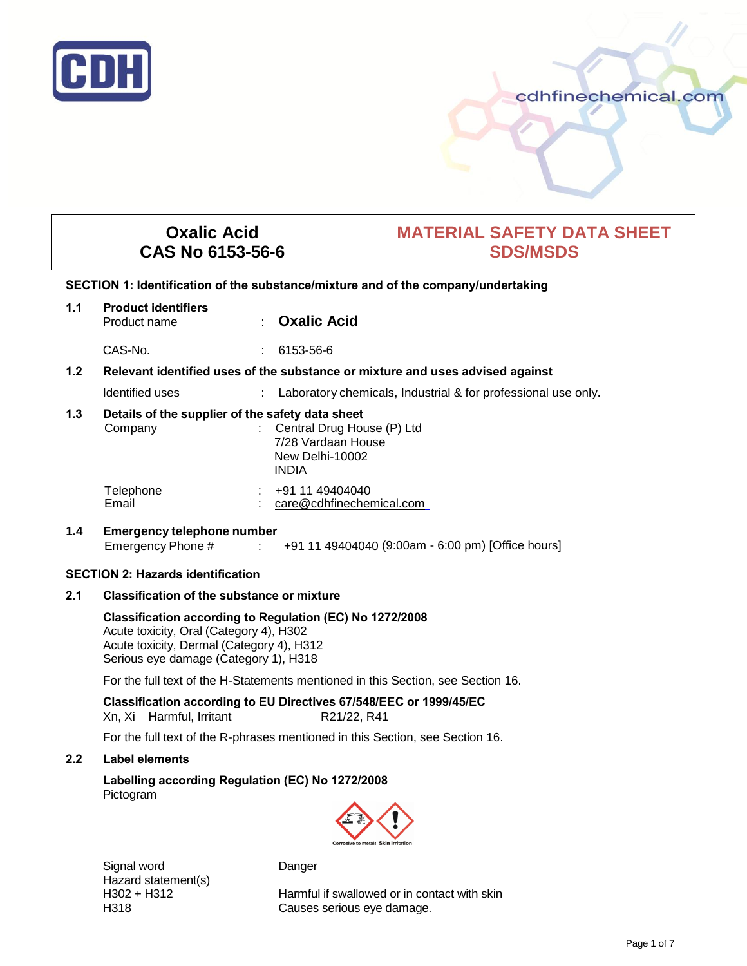

# cdhfinechemical.com

# **Oxalic Acid CAS No 6153-56-6**

# **MATERIAL SAFETY DATA SHEET SDS/MSDS**

# **SECTION 1: Identification of the substance/mixture and of the company/undertaking**

| 1.1 | <b>Product identifiers</b><br>Product name                  | <b>Oxalic Acid</b>                                                                    |
|-----|-------------------------------------------------------------|---------------------------------------------------------------------------------------|
|     | CAS-No.                                                     | 6153-56-6                                                                             |
| 1.2 |                                                             | Relevant identified uses of the substance or mixture and uses advised against         |
|     | Identified uses                                             | Laboratory chemicals, Industrial & for professional use only.                         |
| 1.3 | Details of the supplier of the safety data sheet<br>Company | : Central Drug House (P) Ltd<br>7/28 Vardaan House<br>New Delhi-10002<br><b>INDIA</b> |
|     | Telephone<br>Email                                          | +91 11 49404040<br>care@cdhfinechemical.com                                           |

# **1.4 Emergency telephone number** Emergency Phone # : +91 11 49404040 (9:00am - 6:00 pm) [Office hours]

## **SECTION 2: Hazards identification**

## **2.1 Classification of the substance or mixture**

**Classification according to Regulation (EC) No 1272/2008**  Acute toxicity, Oral (Category 4), H302 Acute toxicity, Dermal (Category 4), H312 Serious eye damage (Category 1), H318

For the full text of the H-Statements mentioned in this Section, see Section 16.

**Classification according to EU Directives 67/548/EEC or 1999/45/EC**  Xn, Xi Harmful, Irritant R21/22, R41

For the full text of the R-phrases mentioned in this Section, see Section 16.

# **2.2 Label elements**

**Labelling according Regulation (EC) No 1272/2008** Pictogram



Signal word Danger Hazard statement(s)<br>H302 + H312

Harmful if swallowed or in contact with skin H318 Causes serious eye damage.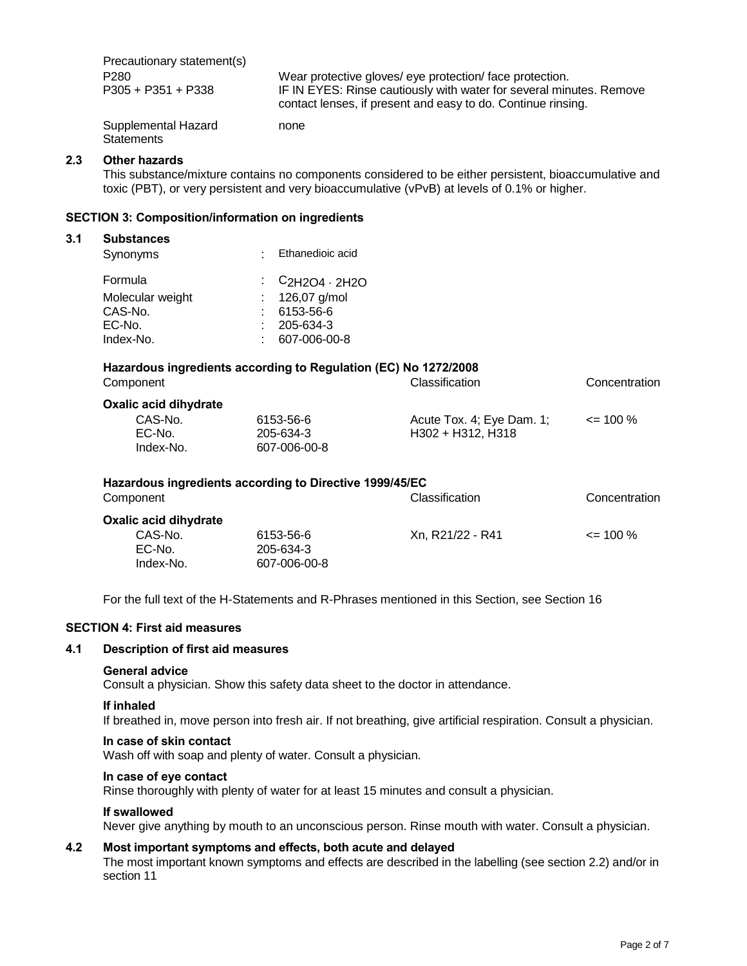Precautionary statement(s) P280 Wear protective gloves/ eye protection/ face protection. P305 + P351 + P338 IF IN EYES: Rinse cautiously with water for several minutes. Remove contact lenses, if present and easy to do. Continue rinsing. Supplemental Hazard none **Statements** 

#### **2.3 Other hazards**

This substance/mixture contains no components considered to be either persistent, bioaccumulative and toxic (PBT), or very persistent and very bioaccumulative (vPvB) at levels of 0.1% or higher.

#### **SECTION 3: Composition/information on ingredients**

#### **3.1 Substances**

| Synonyms         | : Ethanedioic acid |
|------------------|--------------------|
| Formula          | $C_{2H2O4}$ . 2H2O |
| Molecular weight | : $126,07$ g/mol   |
| CAS-No.          | 6153-56-6          |
| EC-No.           | $: 205 - 634 - 3$  |
| Index-No.        | 607-006-00-8       |

# **Hazardous ingredients according to Regulation (EC) No 1272/2008**

| Component             |              | Classification            | Concentration |  |
|-----------------------|--------------|---------------------------|---------------|--|
| Oxalic acid dihydrate |              |                           |               |  |
| CAS-No.               | 6153-56-6    | Acute Tox. 4; Eye Dam. 1; | $\leq$ 100 %  |  |
| EC-No.                | 205-634-3    | H302 + H312, H318         |               |  |
| Index-No.             | 607-006-00-8 |                           |               |  |
|                       |              |                           |               |  |

| Hazardous ingredients according to Directive 1999/45/EC<br>Component |                                        | <b>Classification</b> | Concentration |
|----------------------------------------------------------------------|----------------------------------------|-----------------------|---------------|
| Oxalic acid dihydrate<br>CAS-No.<br>EC-No.<br>Index-No.              | 6153-56-6<br>205-634-3<br>607-006-00-8 | Xn, R21/22 - R41      | $\leq$ 100 %  |

For the full text of the H-Statements and R-Phrases mentioned in this Section, see Section 16

#### **SECTION 4: First aid measures**

#### **4.1 Description of first aid measures**

#### **General advice**

Consult a physician. Show this safety data sheet to the doctor in attendance.

#### **If inhaled**

If breathed in, move person into fresh air. If not breathing, give artificial respiration. Consult a physician.

#### **In case of skin contact**

Wash off with soap and plenty of water. Consult a physician.

#### **In case of eye contact**

Rinse thoroughly with plenty of water for at least 15 minutes and consult a physician.

#### **If swallowed**

Never give anything by mouth to an unconscious person. Rinse mouth with water. Consult a physician.

# **4.2 Most important symptoms and effects, both acute and delayed**

The most important known symptoms and effects are described in the labelling (see section 2.2) and/or in section 11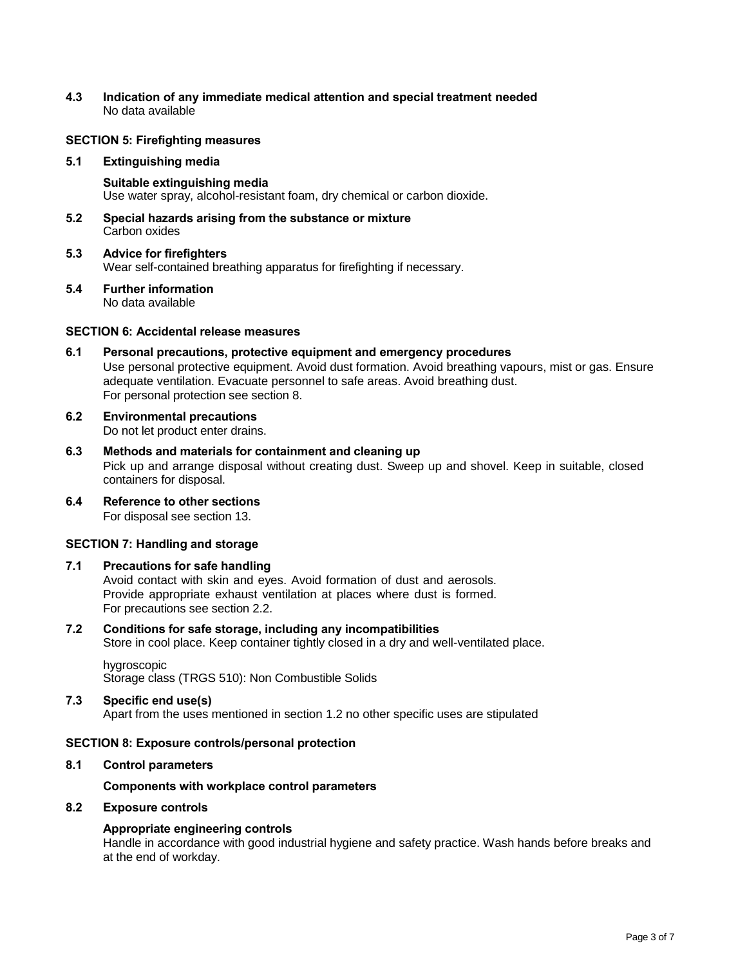**4.3 Indication of any immediate medical attention and special treatment needed** No data available

# **SECTION 5: Firefighting measures**

#### **5.1 Extinguishing media**

- **Suitable extinguishing media**  Use water spray, alcohol-resistant foam, dry chemical or carbon dioxide.
- **5.2 Special hazards arising from the substance or mixture**  Carbon oxides
- **5.3 Advice for firefighters** Wear self-contained breathing apparatus for firefighting if necessary.
- **5.4 Further information** No data available

#### **SECTION 6: Accidental release measures**

- **6.1 Personal precautions, protective equipment and emergency procedures**  Use personal protective equipment. Avoid dust formation. Avoid breathing vapours, mist or gas. Ensure adequate ventilation. Evacuate personnel to safe areas. Avoid breathing dust. For personal protection see section 8.
- **6.2 Environmental precautions** Do not let product enter drains.
- **6.3 Methods and materials for containment and cleaning up**  Pick up and arrange disposal without creating dust. Sweep up and shovel. Keep in suitable, closed containers for disposal.
- **6.4 Reference to other sections** For disposal see section 13.

#### **SECTION 7: Handling and storage**

#### **7.1 Precautions for safe handling**

Avoid contact with skin and eyes. Avoid formation of dust and aerosols. Provide appropriate exhaust ventilation at places where dust is formed. For precautions see section 2.2.

**7.2 Conditions for safe storage, including any incompatibilities**  Store in cool place. Keep container tightly closed in a dry and well-ventilated place.

hygroscopic Storage class (TRGS 510): Non Combustible Solids

#### **7.3 Specific end use(s)**

Apart from the uses mentioned in section 1.2 no other specific uses are stipulated

#### **SECTION 8: Exposure controls/personal protection**

#### **8.1 Control parameters**

**Components with workplace control parameters**

# **8.2 Exposure controls**

## **Appropriate engineering controls**

Handle in accordance with good industrial hygiene and safety practice. Wash hands before breaks and at the end of workday.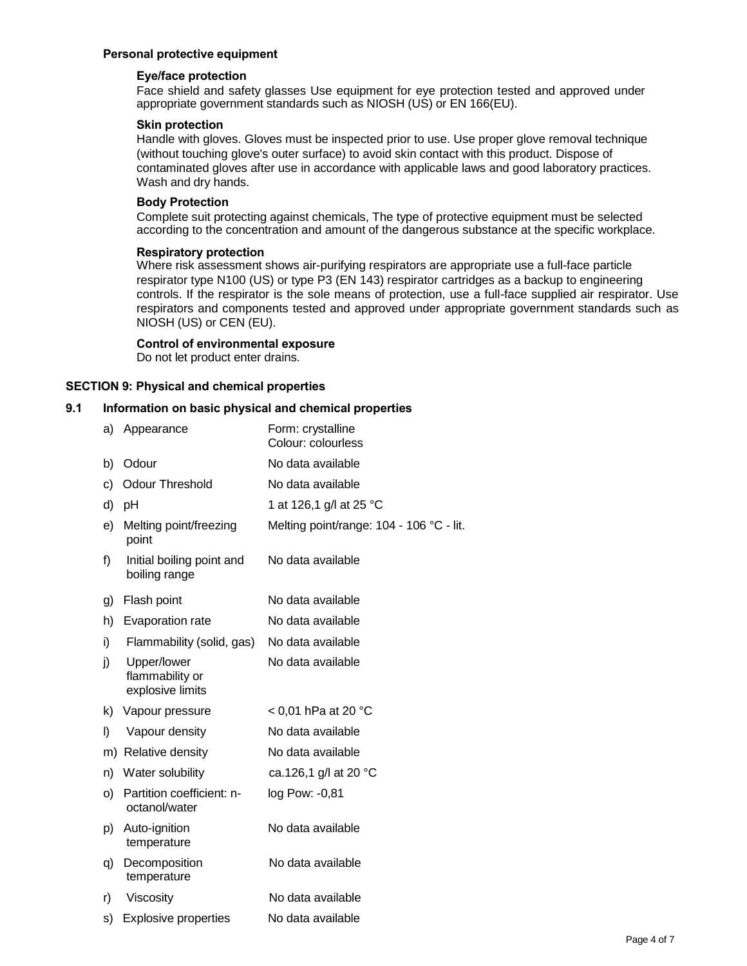# **Personal protective equipment**

#### **Eye/face protection**

Face shield and safety glasses Use equipment for eye protection tested and approved under appropriate government standards such as NIOSH (US) or EN 166(EU).

#### **Skin protection**

Handle with gloves. Gloves must be inspected prior to use. Use proper glove removal technique (without touching glove's outer surface) to avoid skin contact with this product. Dispose of contaminated gloves after use in accordance with applicable laws and good laboratory practices. Wash and dry hands.

#### **Body Protection**

Complete suit protecting against chemicals, The type of protective equipment must be selected according to the concentration and amount of the dangerous substance at the specific workplace.

#### **Respiratory protection**

Where risk assessment shows air-purifying respirators are appropriate use a full-face particle respirator type N100 (US) or type P3 (EN 143) respirator cartridges as a backup to engineering controls. If the respirator is the sole means of protection, use a full-face supplied air respirator. Use respirators and components tested and approved under appropriate government standards such as NIOSH (US) or CEN (EU).

#### **Control of environmental exposure**

Do not let product enter drains.

## **SECTION 9: Physical and chemical properties**

#### **9.1 Information on basic physical and chemical properties**

| a) | Appearance                                         | Form: crystalline<br>Colour: colourless  |
|----|----------------------------------------------------|------------------------------------------|
| b) | Odour                                              | No data available                        |
| c) | <b>Odour Threshold</b>                             | No data available                        |
| d) | рH                                                 | 1 at 126,1 g/l at 25 °C                  |
| e) | Melting point/freezing<br>point                    | Melting point/range: 104 - 106 °C - lit. |
| f) | Initial boiling point and<br>boiling range         | No data available                        |
| g) | Flash point                                        | No data available                        |
| h) | Evaporation rate                                   | No data available                        |
| i) | Flammability (solid, gas)                          | No data available                        |
| j) | Upper/lower<br>flammability or<br>explosive limits | No data available                        |
| k) | Vapour pressure                                    | $<$ 0,01 hPa at 20 °C                    |
| I) | Vapour density                                     | No data available                        |
|    | m) Relative density                                | No data available                        |
| n) | Water solubility                                   | ca.126,1 g/l at 20 °C                    |
| O) | Partition coefficient: n-<br>octanol/water         | log Pow: -0,81                           |
| p) | Auto-ignition<br>temperature                       | No data available                        |
| q) | Decomposition<br>temperature                       | No data available                        |
| r) | Viscosity                                          | No data available                        |
| s) | <b>Explosive properties</b>                        | No data available                        |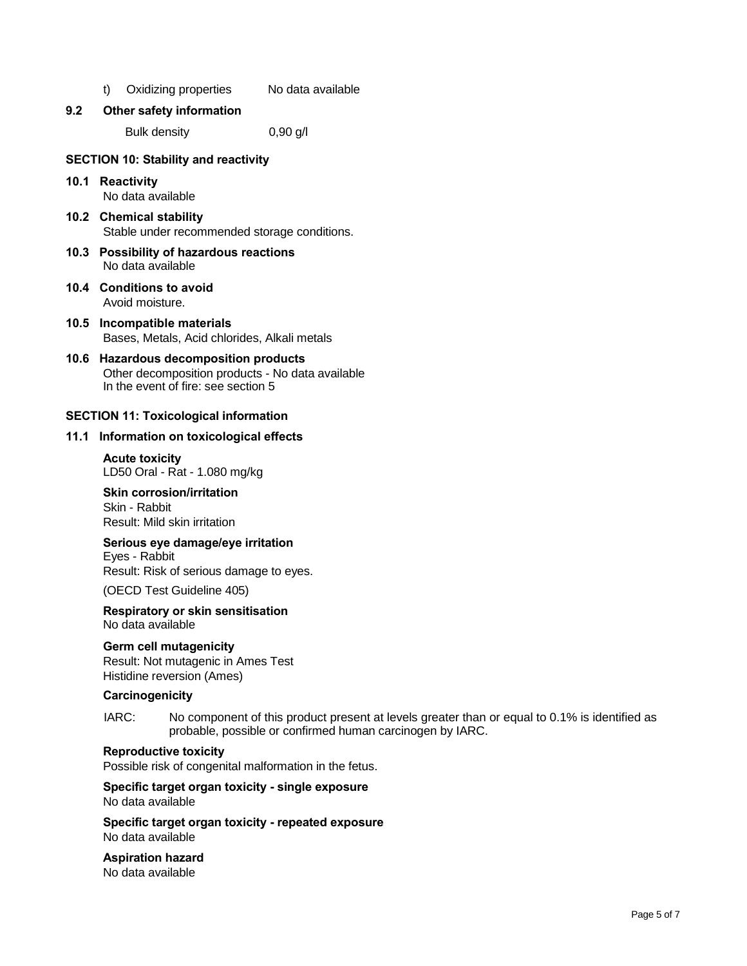t) Oxidizing properties No data available

#### **9.2 Other safety information**

Bulk density 0,90 g/l

#### **SECTION 10: Stability and reactivity**

# **10.1 Reactivity**

No data available

- **10.2 Chemical stability**  Stable under recommended storage conditions.
- **10.3 Possibility of hazardous reactions**  No data available
- **10.4 Conditions to avoid**  Avoid moisture.
- **10.5 Incompatible materials**  Bases, Metals, Acid chlorides, Alkali metals
- **10.6 Hazardous decomposition products**  Other decomposition products - No data available In the event of fire: see section 5

## **SECTION 11: Toxicological information**

#### **11.1 Information on toxicological effects**

**Acute toxicity**  LD50 Oral - Rat - 1.080 mg/kg

#### **Skin corrosion/irritation**

Skin - Rabbit Result: Mild skin irritation

# **Serious eye damage/eye irritation**

Eyes - Rabbit Result: Risk of serious damage to eyes.

(OECD Test Guideline 405)

#### **Respiratory or skin sensitisation**  No data available

## **Germ cell mutagenicity**

Result: Not mutagenic in Ames Test Histidine reversion (Ames)

#### **Carcinogenicity**

IARC: No component of this product present at levels greater than or equal to 0.1% is identified as probable, possible or confirmed human carcinogen by IARC.

#### **Reproductive toxicity**

Possible risk of congenital malformation in the fetus.

#### **Specific target organ toxicity - single exposure**  No data available

**Specific target organ toxicity - repeated exposure**  No data available

# **Aspiration hazard**

No data available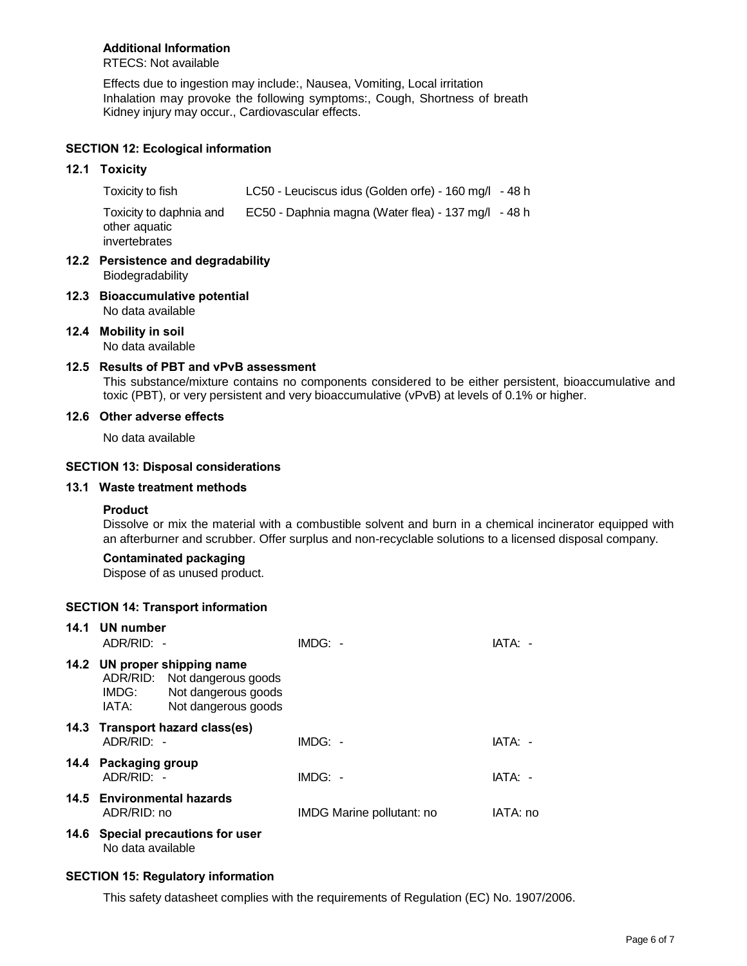# **Additional Information**

RTECS: Not available

Effects due to ingestion may include:, Nausea, Vomiting, Local irritation Inhalation may provoke the following symptoms:, Cough, Shortness of breath Kidney injury may occur., Cardiovascular effects.

# **SECTION 12: Ecological information**

# **12.1 Toxicity**

Toxicity to fish LC50 - Leuciscus idus (Golden orfe) - 160 mg/l - 48 h Toxicity to daphnia and EC50 - Daphnia magna (Water flea) - 137 mg/l - 48 h other aquatic invertebrates

- **12.2 Persistence and degradability**  Biodegradability
- **12.3 Bioaccumulative potential**  No data available
- **12.4 Mobility in soil**

No data available

#### **12.5 Results of PBT and vPvB assessment**

This substance/mixture contains no components considered to be either persistent, bioaccumulative and toxic (PBT), or very persistent and very bioaccumulative (vPvB) at levels of 0.1% or higher.

# **12.6 Other adverse effects**

No data available

## **SECTION 13: Disposal considerations**

# **13.1 Waste treatment methods**

## **Product**

Dissolve or mix the material with a combustible solvent and burn in a chemical incinerator equipped with an afterburner and scrubber. Offer surplus and non-recyclable solutions to a licensed disposal company.

# **Contaminated packaging**

Dispose of as unused product.

## **SECTION 14: Transport information**

| 14.1 UN number<br>ADR/RID: -       |                                                                                                            | $IMDG: -$                 | IATA: -  |
|------------------------------------|------------------------------------------------------------------------------------------------------------|---------------------------|----------|
| IMDG:<br>IATA:                     | 14.2 UN proper shipping name<br>ADR/RID: Not dangerous goods<br>Not dangerous goods<br>Not dangerous goods |                           |          |
| ADR/RID: -                         | 14.3 Transport hazard class(es)                                                                            | $IMDG: -$                 | IATA: -  |
| 14.4 Packaging group<br>ADR/RID: - |                                                                                                            | $IMDG: -$                 | IATA: -  |
| ADR/RID: no                        | 14.5 Environmental hazards                                                                                 | IMDG Marine pollutant: no | IATA: no |
| No data available                  | 14.6 Special precautions for user                                                                          |                           |          |

## **SECTION 15: Regulatory information**

This safety datasheet complies with the requirements of Regulation (EC) No. 1907/2006.